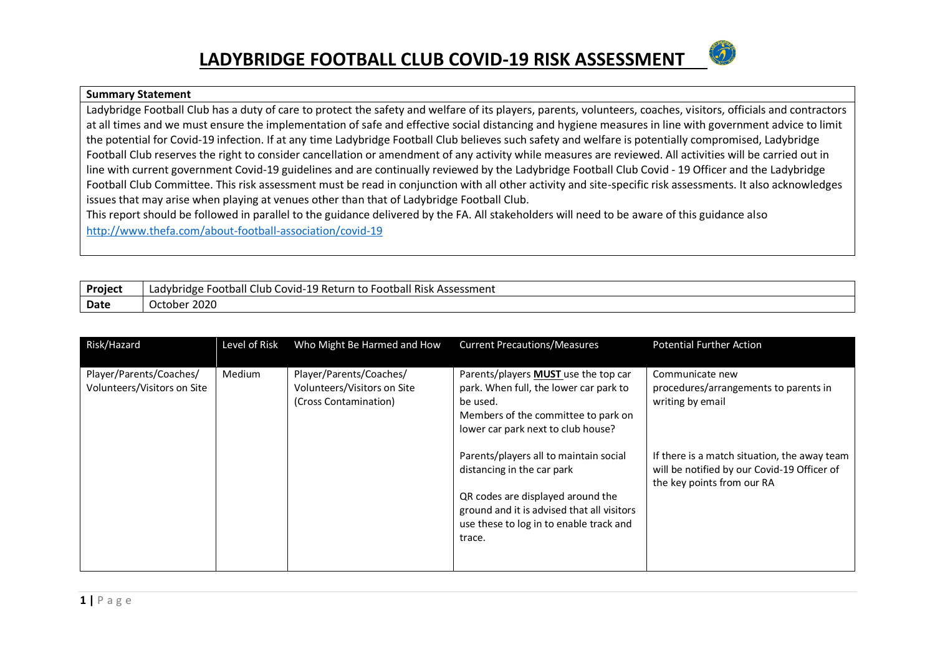

#### **Summary Statement**

Ladybridge Football Club has a duty of care to protect the safety and welfare of its players, parents, volunteers, coaches, visitors, officials and contractors at all times and we must ensure the implementation of safe and effective social distancing and hygiene measures in line with government advice to limit the potential for Covid-19 infection. If at any time Ladybridge Football Club believes such safety and welfare is potentially compromised, Ladybridge Football Club reserves the right to consider cancellation or amendment of any activity while measures are reviewed. All activities will be carried out in line with current government Covid-19 guidelines and are continually reviewed by the Ladybridge Football Club Covid - 19 Officer and the Ladybridge Football Club Committee. This risk assessment must be read in conjunction with all other activity and site-specific risk assessments. It also acknowledges issues that may arise when playing at venues other than that of Ladybridge Football Club.

This report should be followed in parallel to the guidance delivered by the FA. All stakeholders will need to be aware of this guidance also <http://www.thefa.com/about-football-association/covid-19>

| <b>Project</b> | Club<br>+ Covid-19 Return to F<br>Football C<br>ا Football Risk Assessment<br>Ladvbridge<br>LdUV' |
|----------------|---------------------------------------------------------------------------------------------------|
| Date           | 2020<br>October                                                                                   |

| Risk/Hazard                 | Level of Risk | Who Might Be Harmed and How | <b>Current Precautions/Measures</b>        | <b>Potential Further Action</b>                                           |
|-----------------------------|---------------|-----------------------------|--------------------------------------------|---------------------------------------------------------------------------|
|                             |               |                             |                                            |                                                                           |
| Player/Parents/Coaches/     | <b>Medium</b> | Player/Parents/Coaches/     | Parents/players MUST use the top car       | Communicate new                                                           |
| Volunteers/Visitors on Site |               | Volunteers/Visitors on Site | park. When full, the lower car park to     | procedures/arrangements to parents in                                     |
|                             |               | (Cross Contamination)       | be used.                                   | writing by email                                                          |
|                             |               |                             | Members of the committee to park on        |                                                                           |
|                             |               |                             | lower car park next to club house?         |                                                                           |
|                             |               |                             |                                            |                                                                           |
|                             |               |                             | Parents/players all to maintain social     | If there is a match situation, the away team                              |
|                             |               |                             | distancing in the car park                 | will be notified by our Covid-19 Officer of<br>the key points from our RA |
|                             |               |                             | QR codes are displayed around the          |                                                                           |
|                             |               |                             | ground and it is advised that all visitors |                                                                           |
|                             |               |                             | use these to log in to enable track and    |                                                                           |
|                             |               |                             | trace.                                     |                                                                           |
|                             |               |                             |                                            |                                                                           |
|                             |               |                             |                                            |                                                                           |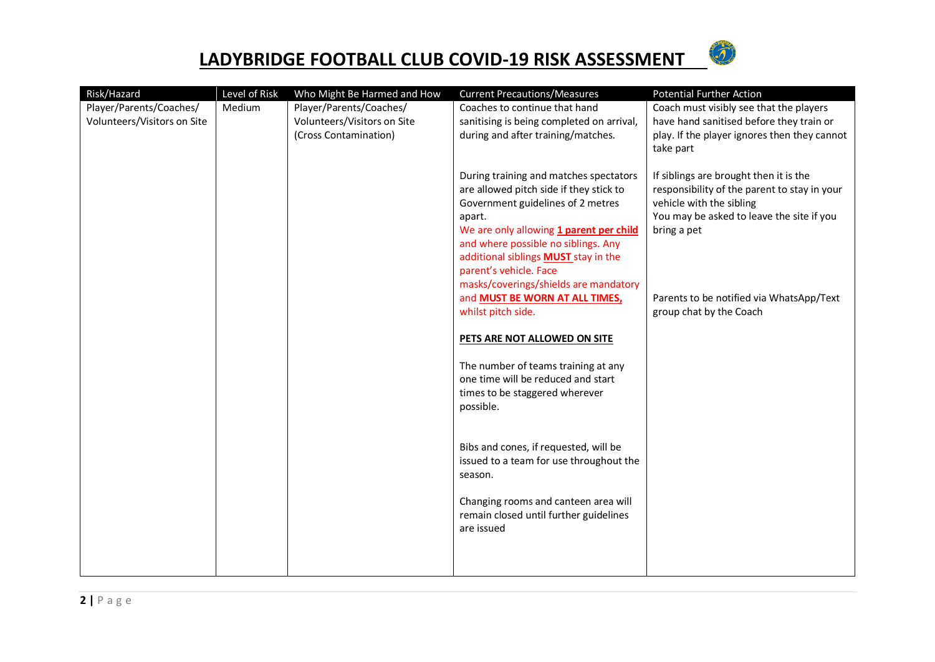

| Risk/Hazard                 | Level of Risk | Who Might Be Harmed and How | <b>Current Precautions/Measures</b>                                                                                                                                         | <b>Potential Further Action</b>                                                                                                                                                |
|-----------------------------|---------------|-----------------------------|-----------------------------------------------------------------------------------------------------------------------------------------------------------------------------|--------------------------------------------------------------------------------------------------------------------------------------------------------------------------------|
| Player/Parents/Coaches/     | Medium        | Player/Parents/Coaches/     | Coaches to continue that hand                                                                                                                                               | Coach must visibly see that the players                                                                                                                                        |
| Volunteers/Visitors on Site |               | Volunteers/Visitors on Site | sanitising is being completed on arrival,                                                                                                                                   | have hand sanitised before they train or                                                                                                                                       |
|                             |               | (Cross Contamination)       | during and after training/matches.                                                                                                                                          | play. If the player ignores then they cannot                                                                                                                                   |
|                             |               |                             |                                                                                                                                                                             | take part                                                                                                                                                                      |
|                             |               |                             | During training and matches spectators<br>are allowed pitch side if they stick to<br>Government guidelines of 2 metres<br>apart.<br>We are only allowing 1 parent per child | If siblings are brought then it is the<br>responsibility of the parent to stay in your<br>vehicle with the sibling<br>You may be asked to leave the site if you<br>bring a pet |
|                             |               |                             | and where possible no siblings. Any                                                                                                                                         |                                                                                                                                                                                |
|                             |               |                             | additional siblings <b>MUST</b> stay in the<br>parent's vehicle. Face                                                                                                       |                                                                                                                                                                                |
|                             |               |                             | masks/coverings/shields are mandatory                                                                                                                                       |                                                                                                                                                                                |
|                             |               |                             | and <b>MUST BE WORN AT ALL TIMES</b> ,                                                                                                                                      | Parents to be notified via WhatsApp/Text                                                                                                                                       |
|                             |               |                             | whilst pitch side.                                                                                                                                                          | group chat by the Coach                                                                                                                                                        |
|                             |               |                             | PETS ARE NOT ALLOWED ON SITE                                                                                                                                                |                                                                                                                                                                                |
|                             |               |                             | The number of teams training at any                                                                                                                                         |                                                                                                                                                                                |
|                             |               |                             | one time will be reduced and start<br>times to be staggered wherever                                                                                                        |                                                                                                                                                                                |
|                             |               |                             | possible.                                                                                                                                                                   |                                                                                                                                                                                |
|                             |               |                             |                                                                                                                                                                             |                                                                                                                                                                                |
|                             |               |                             | Bibs and cones, if requested, will be                                                                                                                                       |                                                                                                                                                                                |
|                             |               |                             | issued to a team for use throughout the                                                                                                                                     |                                                                                                                                                                                |
|                             |               |                             | season.                                                                                                                                                                     |                                                                                                                                                                                |
|                             |               |                             | Changing rooms and canteen area will                                                                                                                                        |                                                                                                                                                                                |
|                             |               |                             | remain closed until further guidelines                                                                                                                                      |                                                                                                                                                                                |
|                             |               |                             | are issued                                                                                                                                                                  |                                                                                                                                                                                |
|                             |               |                             |                                                                                                                                                                             |                                                                                                                                                                                |
|                             |               |                             |                                                                                                                                                                             |                                                                                                                                                                                |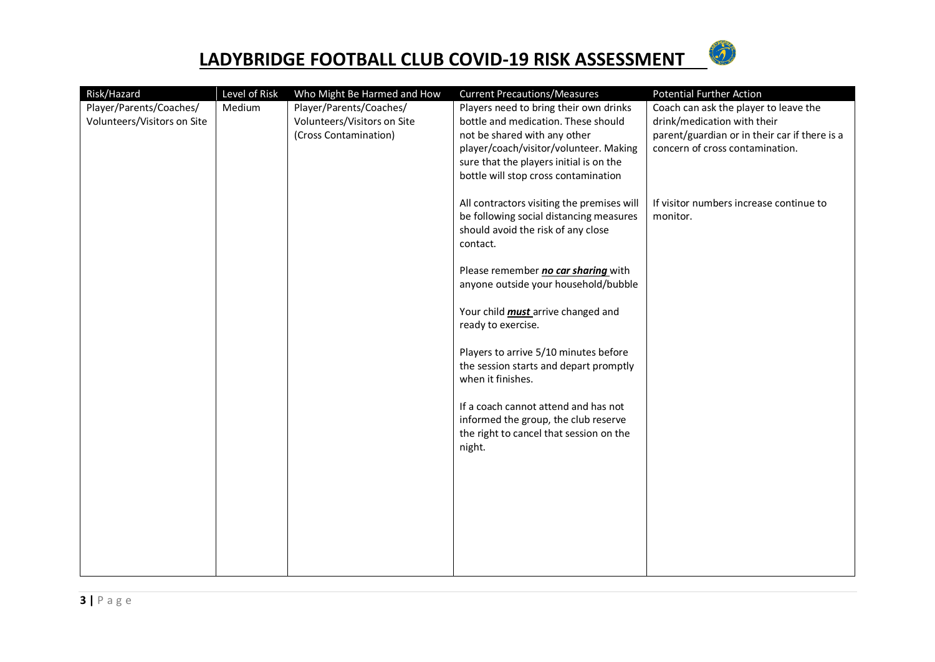

| Risk/Hazard                 | Level of Risk | Who Might Be Harmed and How | <b>Current Precautions/Measures</b>        | <b>Potential Further Action</b>               |
|-----------------------------|---------------|-----------------------------|--------------------------------------------|-----------------------------------------------|
| Player/Parents/Coaches/     | Medium        | Player/Parents/Coaches/     | Players need to bring their own drinks     | Coach can ask the player to leave the         |
| Volunteers/Visitors on Site |               | Volunteers/Visitors on Site | bottle and medication. These should        | drink/medication with their                   |
|                             |               | (Cross Contamination)       | not be shared with any other               | parent/guardian or in their car if there is a |
|                             |               |                             | player/coach/visitor/volunteer. Making     | concern of cross contamination.               |
|                             |               |                             | sure that the players initial is on the    |                                               |
|                             |               |                             | bottle will stop cross contamination       |                                               |
|                             |               |                             | All contractors visiting the premises will | If visitor numbers increase continue to       |
|                             |               |                             | be following social distancing measures    | monitor.                                      |
|                             |               |                             | should avoid the risk of any close         |                                               |
|                             |               |                             | contact.                                   |                                               |
|                             |               |                             |                                            |                                               |
|                             |               |                             | Please remember no car sharing with        |                                               |
|                             |               |                             | anyone outside your household/bubble       |                                               |
|                             |               |                             | Your child <i>must</i> arrive changed and  |                                               |
|                             |               |                             | ready to exercise.                         |                                               |
|                             |               |                             |                                            |                                               |
|                             |               |                             | Players to arrive 5/10 minutes before      |                                               |
|                             |               |                             | the session starts and depart promptly     |                                               |
|                             |               |                             | when it finishes.                          |                                               |
|                             |               |                             | If a coach cannot attend and has not       |                                               |
|                             |               |                             | informed the group, the club reserve       |                                               |
|                             |               |                             | the right to cancel that session on the    |                                               |
|                             |               |                             | night.                                     |                                               |
|                             |               |                             |                                            |                                               |
|                             |               |                             |                                            |                                               |
|                             |               |                             |                                            |                                               |
|                             |               |                             |                                            |                                               |
|                             |               |                             |                                            |                                               |
|                             |               |                             |                                            |                                               |
|                             |               |                             |                                            |                                               |
|                             |               |                             |                                            |                                               |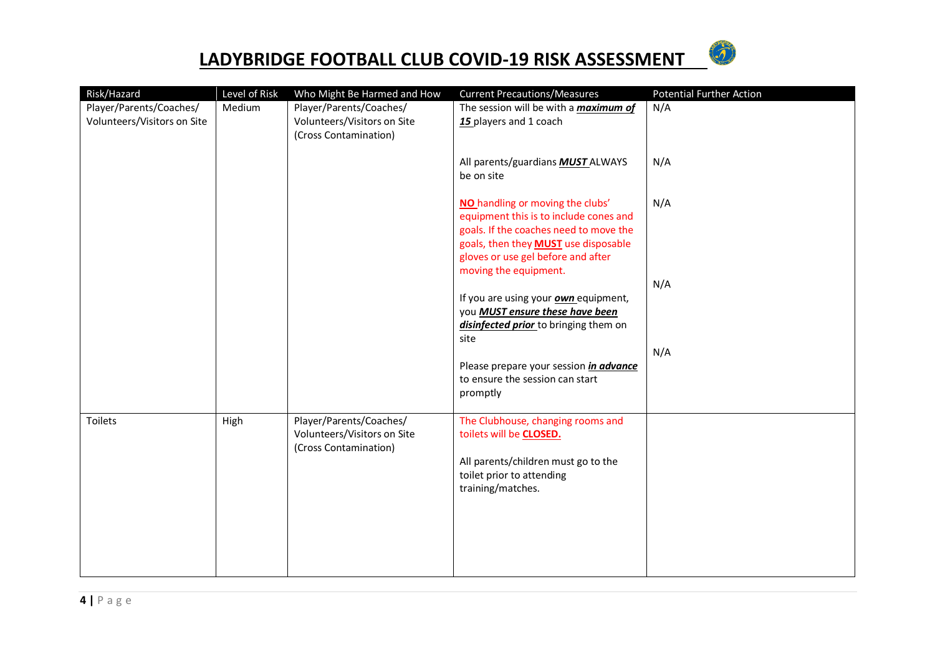

| Risk/Hazard                                            | Level of Risk | Who Might Be Harmed and How                                                     | <b>Current Precautions/Measures</b>                                                                                                                                                                                                | <b>Potential Further Action</b> |
|--------------------------------------------------------|---------------|---------------------------------------------------------------------------------|------------------------------------------------------------------------------------------------------------------------------------------------------------------------------------------------------------------------------------|---------------------------------|
| Player/Parents/Coaches/<br>Volunteers/Visitors on Site | Medium        | Player/Parents/Coaches/<br>Volunteers/Visitors on Site<br>(Cross Contamination) | The session will be with a <i>maximum of</i><br>15 players and 1 coach                                                                                                                                                             | N/A                             |
|                                                        |               |                                                                                 | All parents/guardians <b>MUST</b> ALWAYS<br>be on site                                                                                                                                                                             | N/A                             |
|                                                        |               |                                                                                 | NO handling or moving the clubs'<br>equipment this is to include cones and<br>goals. If the coaches need to move the<br>goals, then they <b>MUST</b> use disposable<br>gloves or use gel before and after<br>moving the equipment. | N/A                             |
|                                                        |               |                                                                                 | If you are using your <b>own</b> equipment,<br>you MUST ensure these have been                                                                                                                                                     | N/A                             |
|                                                        |               |                                                                                 | disinfected prior to bringing them on<br>site                                                                                                                                                                                      | N/A                             |
|                                                        |               |                                                                                 | Please prepare your session <i>in advance</i><br>to ensure the session can start<br>promptly                                                                                                                                       |                                 |
| Toilets                                                | High          | Player/Parents/Coaches/<br>Volunteers/Visitors on Site<br>(Cross Contamination) | The Clubhouse, changing rooms and<br>toilets will be CLOSED.<br>All parents/children must go to the<br>toilet prior to attending<br>training/matches.                                                                              |                                 |
|                                                        |               |                                                                                 |                                                                                                                                                                                                                                    |                                 |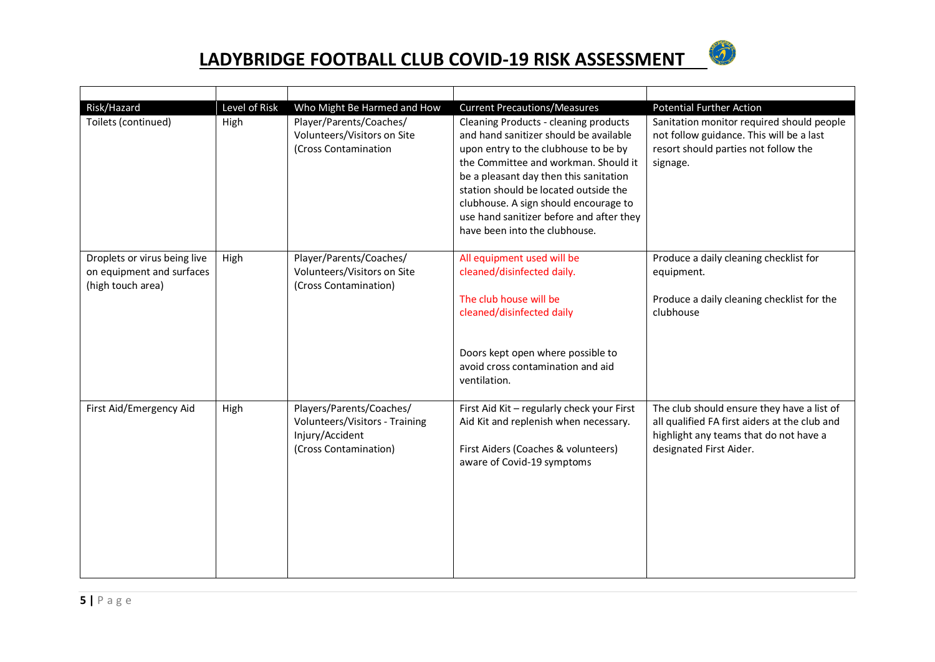

| Risk/Hazard<br>Toilets (continued)                                             | Level of Risk<br>High | Who Might Be Harmed and How<br>Player/Parents/Coaches/<br>Volunteers/Visitors on Site<br>(Cross Contamination | <b>Current Precautions/Measures</b><br>Cleaning Products - cleaning products<br>and hand sanitizer should be available<br>upon entry to the clubhouse to be by<br>the Committee and workman. Should it<br>be a pleasant day then this sanitation<br>station should be located outside the<br>clubhouse. A sign should encourage to<br>use hand sanitizer before and after they<br>have been into the clubhouse. | <b>Potential Further Action</b><br>Sanitation monitor required should people<br>not follow guidance. This will be a last<br>resort should parties not follow the<br>signage. |
|--------------------------------------------------------------------------------|-----------------------|---------------------------------------------------------------------------------------------------------------|-----------------------------------------------------------------------------------------------------------------------------------------------------------------------------------------------------------------------------------------------------------------------------------------------------------------------------------------------------------------------------------------------------------------|------------------------------------------------------------------------------------------------------------------------------------------------------------------------------|
| Droplets or virus being live<br>on equipment and surfaces<br>(high touch area) | High                  | Player/Parents/Coaches/<br>Volunteers/Visitors on Site<br>(Cross Contamination)                               | All equipment used will be<br>cleaned/disinfected daily.<br>The club house will be<br>cleaned/disinfected daily<br>Doors kept open where possible to<br>avoid cross contamination and aid<br>ventilation.                                                                                                                                                                                                       | Produce a daily cleaning checklist for<br>equipment.<br>Produce a daily cleaning checklist for the<br>clubhouse                                                              |
| First Aid/Emergency Aid                                                        | High                  | Players/Parents/Coaches/<br>Volunteers/Visitors - Training<br>Injury/Accident<br>(Cross Contamination)        | First Aid Kit - regularly check your First<br>Aid Kit and replenish when necessary.<br>First Aiders (Coaches & volunteers)<br>aware of Covid-19 symptoms                                                                                                                                                                                                                                                        | The club should ensure they have a list of<br>all qualified FA first aiders at the club and<br>highlight any teams that do not have a<br>designated First Aider.             |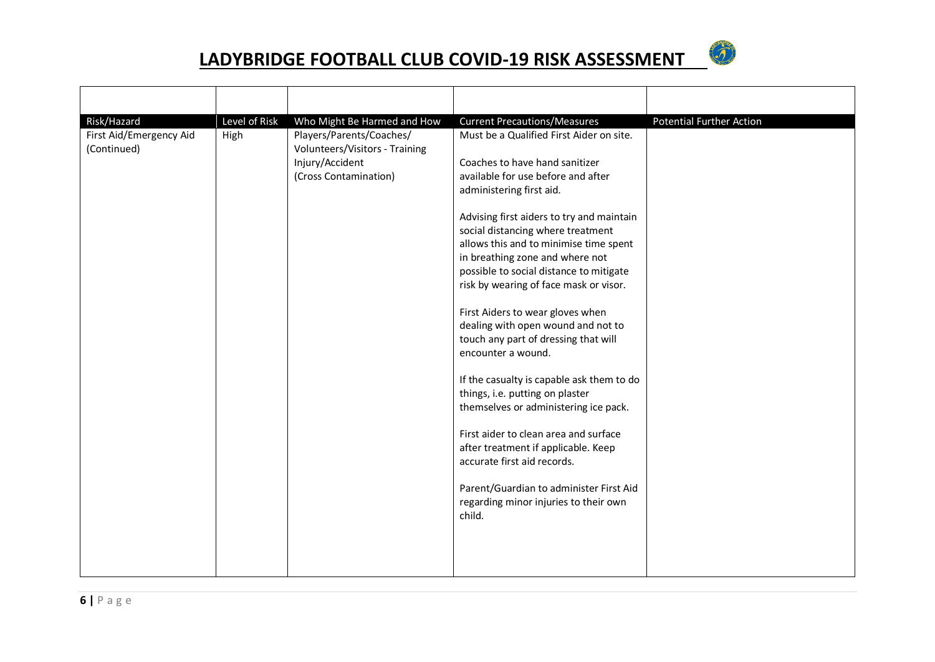

| Risk/Hazard                            | Level of Risk | Who Might Be Harmed and How                                                                            | <b>Current Precautions/Measures</b>                                                                                                                                                                                                                                                                                                                                                                                                                                                                                                                                                                                                                                                                                                                                                                                                                                            | <b>Potential Further Action</b> |
|----------------------------------------|---------------|--------------------------------------------------------------------------------------------------------|--------------------------------------------------------------------------------------------------------------------------------------------------------------------------------------------------------------------------------------------------------------------------------------------------------------------------------------------------------------------------------------------------------------------------------------------------------------------------------------------------------------------------------------------------------------------------------------------------------------------------------------------------------------------------------------------------------------------------------------------------------------------------------------------------------------------------------------------------------------------------------|---------------------------------|
| First Aid/Emergency Aid<br>(Continued) | High          | Players/Parents/Coaches/<br>Volunteers/Visitors - Training<br>Injury/Accident<br>(Cross Contamination) | Must be a Qualified First Aider on site.<br>Coaches to have hand sanitizer<br>available for use before and after<br>administering first aid.<br>Advising first aiders to try and maintain<br>social distancing where treatment<br>allows this and to minimise time spent<br>in breathing zone and where not<br>possible to social distance to mitigate<br>risk by wearing of face mask or visor.<br>First Aiders to wear gloves when<br>dealing with open wound and not to<br>touch any part of dressing that will<br>encounter a wound.<br>If the casualty is capable ask them to do<br>things, i.e. putting on plaster<br>themselves or administering ice pack.<br>First aider to clean area and surface<br>after treatment if applicable. Keep<br>accurate first aid records.<br>Parent/Guardian to administer First Aid<br>regarding minor injuries to their own<br>child. |                                 |
|                                        |               |                                                                                                        |                                                                                                                                                                                                                                                                                                                                                                                                                                                                                                                                                                                                                                                                                                                                                                                                                                                                                |                                 |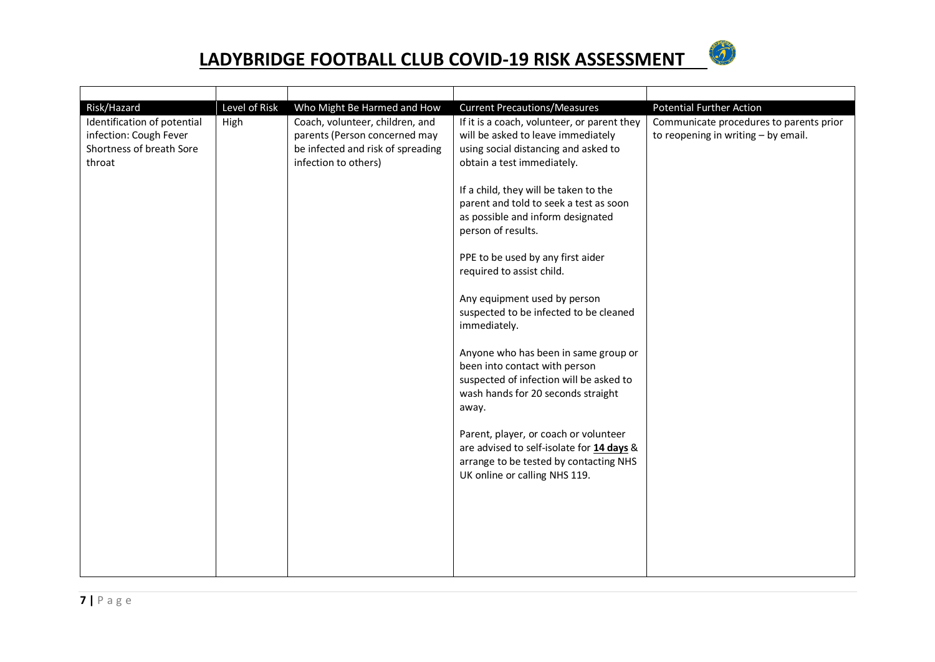

| Risk/Hazard                                                                                 | Level of Risk | Who Might Be Harmed and How                                                                                                   | <b>Current Precautions/Measures</b>                                                                                                                             | <b>Potential Further Action</b>                                                  |
|---------------------------------------------------------------------------------------------|---------------|-------------------------------------------------------------------------------------------------------------------------------|-----------------------------------------------------------------------------------------------------------------------------------------------------------------|----------------------------------------------------------------------------------|
| Identification of potential<br>infection: Cough Fever<br>Shortness of breath Sore<br>throat | High          | Coach, volunteer, children, and<br>parents (Person concerned may<br>be infected and risk of spreading<br>infection to others) | If it is a coach, volunteer, or parent they<br>will be asked to leave immediately<br>using social distancing and asked to<br>obtain a test immediately.         | Communicate procedures to parents prior<br>to reopening in writing $-$ by email. |
|                                                                                             |               |                                                                                                                               | If a child, they will be taken to the<br>parent and told to seek a test as soon<br>as possible and inform designated<br>person of results.                      |                                                                                  |
|                                                                                             |               |                                                                                                                               | PPE to be used by any first aider<br>required to assist child.                                                                                                  |                                                                                  |
|                                                                                             |               |                                                                                                                               | Any equipment used by person<br>suspected to be infected to be cleaned<br>immediately.                                                                          |                                                                                  |
|                                                                                             |               |                                                                                                                               | Anyone who has been in same group or<br>been into contact with person<br>suspected of infection will be asked to<br>wash hands for 20 seconds straight<br>away. |                                                                                  |
|                                                                                             |               |                                                                                                                               | Parent, player, or coach or volunteer<br>are advised to self-isolate for 14 days &<br>arrange to be tested by contacting NHS<br>UK online or calling NHS 119.   |                                                                                  |
|                                                                                             |               |                                                                                                                               |                                                                                                                                                                 |                                                                                  |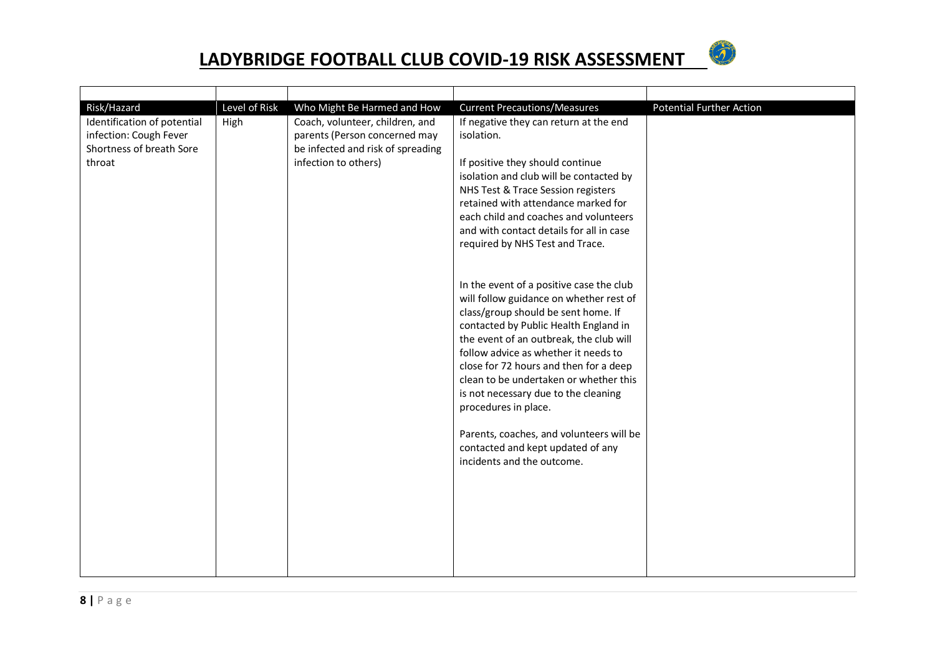

| Risk/Hazard                                                                                 | Level of Risk | Who Might Be Harmed and How                                                                                                   | <b>Current Precautions/Measures</b>                                                                                                                                                                                                                                                                                                                                                                                                                                                                                       | <b>Potential Further Action</b> |
|---------------------------------------------------------------------------------------------|---------------|-------------------------------------------------------------------------------------------------------------------------------|---------------------------------------------------------------------------------------------------------------------------------------------------------------------------------------------------------------------------------------------------------------------------------------------------------------------------------------------------------------------------------------------------------------------------------------------------------------------------------------------------------------------------|---------------------------------|
| Identification of potential<br>infection: Cough Fever<br>Shortness of breath Sore<br>throat | High          | Coach, volunteer, children, and<br>parents (Person concerned may<br>be infected and risk of spreading<br>infection to others) | If negative they can return at the end<br>isolation.<br>If positive they should continue<br>isolation and club will be contacted by<br>NHS Test & Trace Session registers<br>retained with attendance marked for<br>each child and coaches and volunteers<br>and with contact details for all in case<br>required by NHS Test and Trace.                                                                                                                                                                                  |                                 |
|                                                                                             |               |                                                                                                                               | In the event of a positive case the club<br>will follow guidance on whether rest of<br>class/group should be sent home. If<br>contacted by Public Health England in<br>the event of an outbreak, the club will<br>follow advice as whether it needs to<br>close for 72 hours and then for a deep<br>clean to be undertaken or whether this<br>is not necessary due to the cleaning<br>procedures in place.<br>Parents, coaches, and volunteers will be<br>contacted and kept updated of any<br>incidents and the outcome. |                                 |
|                                                                                             |               |                                                                                                                               |                                                                                                                                                                                                                                                                                                                                                                                                                                                                                                                           |                                 |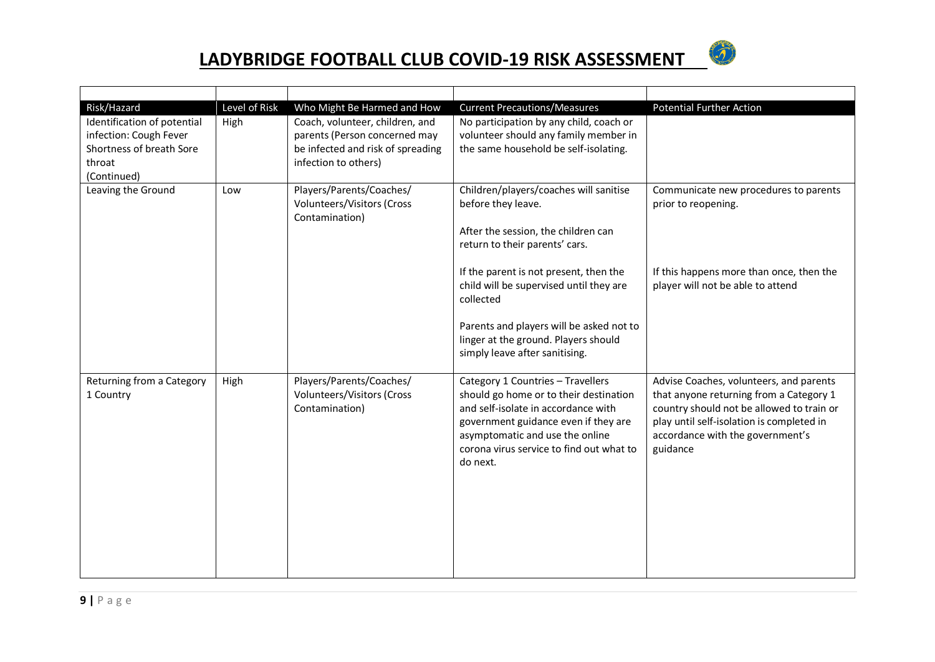

| Risk/Hazard                                                                                                | Level of Risk | Who Might Be Harmed and How                                                                                                   | <b>Current Precautions/Measures</b>                                                                                                                                                                                                                   | <b>Potential Further Action</b>                                                                                                                                                                                              |
|------------------------------------------------------------------------------------------------------------|---------------|-------------------------------------------------------------------------------------------------------------------------------|-------------------------------------------------------------------------------------------------------------------------------------------------------------------------------------------------------------------------------------------------------|------------------------------------------------------------------------------------------------------------------------------------------------------------------------------------------------------------------------------|
| Identification of potential<br>infection: Cough Fever<br>Shortness of breath Sore<br>throat<br>(Continued) | High          | Coach, volunteer, children, and<br>parents (Person concerned may<br>be infected and risk of spreading<br>infection to others) | No participation by any child, coach or<br>volunteer should any family member in<br>the same household be self-isolating.                                                                                                                             |                                                                                                                                                                                                                              |
| Leaving the Ground                                                                                         | Low           | Players/Parents/Coaches/<br>Volunteers/Visitors (Cross<br>Contamination)                                                      | Children/players/coaches will sanitise<br>before they leave.<br>After the session, the children can<br>return to their parents' cars.                                                                                                                 | Communicate new procedures to parents<br>prior to reopening.                                                                                                                                                                 |
|                                                                                                            |               |                                                                                                                               | If the parent is not present, then the<br>child will be supervised until they are<br>collected<br>Parents and players will be asked not to<br>linger at the ground. Players should<br>simply leave after sanitising.                                  | If this happens more than once, then the<br>player will not be able to attend                                                                                                                                                |
| Returning from a Category<br>1 Country                                                                     | High          | Players/Parents/Coaches/<br>Volunteers/Visitors (Cross<br>Contamination)                                                      | Category 1 Countries - Travellers<br>should go home or to their destination<br>and self-isolate in accordance with<br>government guidance even if they are<br>asymptomatic and use the online<br>corona virus service to find out what to<br>do next. | Advise Coaches, volunteers, and parents<br>that anyone returning from a Category 1<br>country should not be allowed to train or<br>play until self-isolation is completed in<br>accordance with the government's<br>guidance |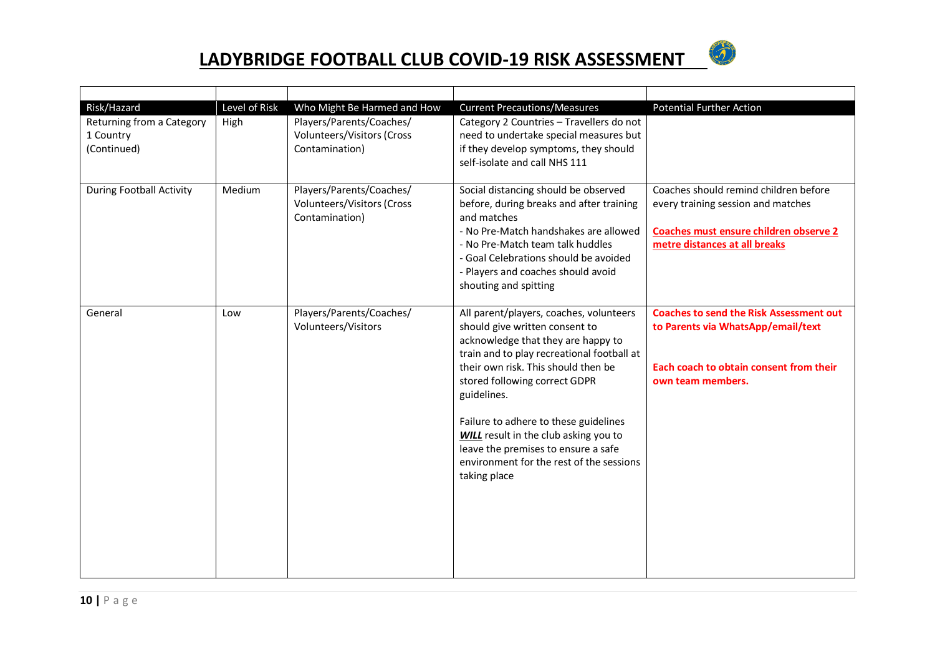

| Risk/Hazard                                           | Level of Risk | Who Might Be Harmed and How                                              | <b>Current Precautions/Measures</b>                                                                                                                                                                                                                                                                                                                                                                                                              | <b>Potential Further Action</b>                                                                                                                        |
|-------------------------------------------------------|---------------|--------------------------------------------------------------------------|--------------------------------------------------------------------------------------------------------------------------------------------------------------------------------------------------------------------------------------------------------------------------------------------------------------------------------------------------------------------------------------------------------------------------------------------------|--------------------------------------------------------------------------------------------------------------------------------------------------------|
| Returning from a Category<br>1 Country<br>(Continued) | High          | Players/Parents/Coaches/<br>Volunteers/Visitors (Cross<br>Contamination) | Category 2 Countries - Travellers do not<br>need to undertake special measures but<br>if they develop symptoms, they should<br>self-isolate and call NHS 111                                                                                                                                                                                                                                                                                     |                                                                                                                                                        |
| <b>During Football Activity</b>                       | Medium        | Players/Parents/Coaches/<br>Volunteers/Visitors (Cross<br>Contamination) | Social distancing should be observed<br>before, during breaks and after training<br>and matches<br>- No Pre-Match handshakes are allowed<br>- No Pre-Match team talk huddles<br>- Goal Celebrations should be avoided<br>- Players and coaches should avoid<br>shouting and spitting                                                                                                                                                             | Coaches should remind children before<br>every training session and matches<br>Coaches must ensure children observe 2<br>metre distances at all breaks |
| General                                               | Low           | Players/Parents/Coaches/<br>Volunteers/Visitors                          | All parent/players, coaches, volunteers<br>should give written consent to<br>acknowledge that they are happy to<br>train and to play recreational football at<br>their own risk. This should then be<br>stored following correct GDPR<br>guidelines.<br>Failure to adhere to these guidelines<br><b>WILL</b> result in the club asking you to<br>leave the premises to ensure a safe<br>environment for the rest of the sessions<br>taking place | <b>Coaches to send the Risk Assessment out</b><br>to Parents via WhatsApp/email/text<br>Each coach to obtain consent from their<br>own team members.   |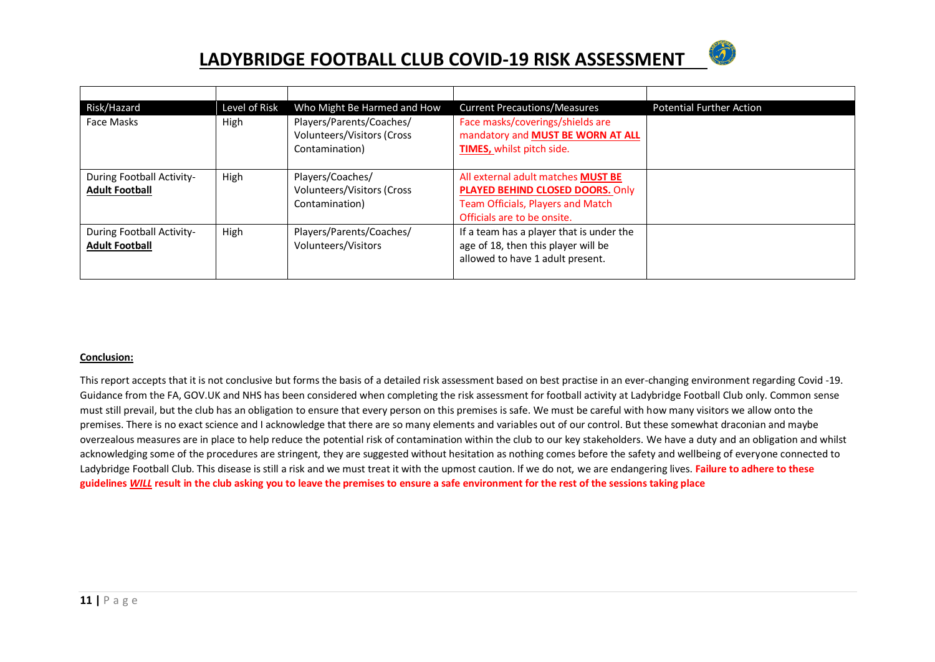

| Risk/Hazard                                        | Level of Risk | Who Might Be Harmed and How                                              | <b>Current Precautions/Measures</b>                                                                                                               | <b>Potential Further Action</b> |
|----------------------------------------------------|---------------|--------------------------------------------------------------------------|---------------------------------------------------------------------------------------------------------------------------------------------------|---------------------------------|
| Face Masks                                         | High          | Players/Parents/Coaches/<br>Volunteers/Visitors (Cross<br>Contamination) | Face masks/coverings/shields are<br>mandatory and MUST BE WORN AT ALL<br>TIMES, whilst pitch side.                                                |                                 |
| During Football Activity-<br><b>Adult Football</b> | High          | Players/Coaches/<br>Volunteers/Visitors (Cross<br>Contamination)         | All external adult matches MUST BE<br>PLAYED BEHIND CLOSED DOORS. Only<br><b>Team Officials, Players and Match</b><br>Officials are to be onsite. |                                 |
| During Football Activity-<br><b>Adult Football</b> | High          | Players/Parents/Coaches/<br>Volunteers/Visitors                          | If a team has a player that is under the<br>age of 18, then this player will be<br>allowed to have 1 adult present.                               |                                 |

#### **Conclusion:**

This report accepts that it is not conclusive but forms the basis of a detailed risk assessment based on best practise in an ever-changing environment regarding Covid -19. Guidance from the FA, GOV.UK and NHS has been considered when completing the risk assessment for football activity at Ladybridge Football Club only. Common sense must still prevail, but the club has an obligation to ensure that every person on this premises is safe. We must be careful with how many visitors we allow onto the premises. There is no exact science and I acknowledge that there are so many elements and variables out of our control. But these somewhat draconian and maybe overzealous measures are in place to help reduce the potential risk of contamination within the club to our key stakeholders. We have a duty and an obligation and whilst acknowledging some of the procedures are stringent, they are suggested without hesitation as nothing comes before the safety and wellbeing of everyone connected to Ladybridge Football Club. This disease is still a risk and we must treat it with the upmost caution. If we do not, we are endangering lives. **Failure to adhere to these guidelines** *WILL* **result in the club asking you to leave the premises to ensure a safe environment for the rest of the sessions taking place**